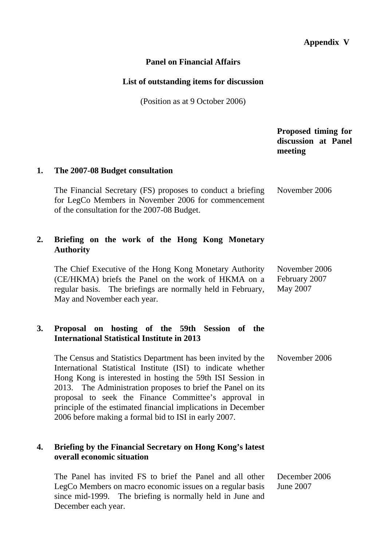# **Appendix V**

## **Panel on Financial Affairs**

### **List of outstanding items for discussion**

(Position as at 9 October 2006)

 **Proposed timing for discussion at Panel meeting 1. The 2007-08 Budget consultation**  The Financial Secretary (FS) proposes to conduct a briefing for LegCo Members in November 2006 for commencement of the consultation for the 2007-08 Budget. November 2006 **2. Briefing on the work of the Hong Kong Monetary Authority**  The Chief Executive of the Hong Kong Monetary Authority (CE/HKMA) briefs the Panel on the work of HKMA on a regular basis. The briefings are normally held in February, May and November each year. November 2006 February 2007 May 2007 **3. Proposal on hosting of the 59th Session of the International Statistical Institute in 2013**  The Census and Statistics Department has been invited by the International Statistical Institute (ISI) to indicate whether Hong Kong is interested in hosting the 59th ISI Session in 2013. The Administration proposes to brief the Panel on its proposal to seek the Finance Committee's approval in principle of the estimated financial implications in December 2006 before making a formal bid to ISI in early 2007. November 2006 **4. Briefing by the Financial Secretary on Hong Kong's latest overall economic situation**  The Panel has invited FS to brief the Panel and all other LegCo Members on macro economic issues on a regular basis since mid-1999. The briefing is normally held in June and December 2006 June 2007

December each year.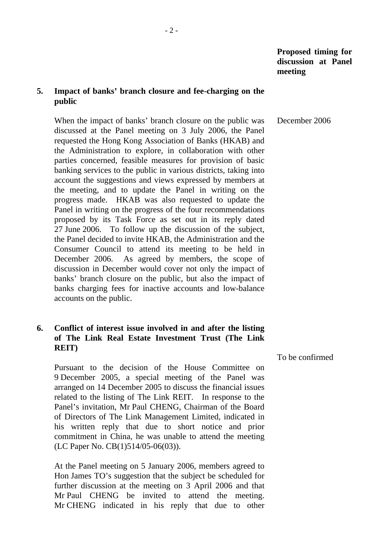## **5. Impact of banks' branch closure and fee-charging on the public**

 When the impact of banks' branch closure on the public was discussed at the Panel meeting on 3 July 2006, the Panel requested the Hong Kong Association of Banks (HKAB) and the Administration to explore, in collaboration with other parties concerned, feasible measures for provision of basic banking services to the public in various districts, taking into account the suggestions and views expressed by members at the meeting, and to update the Panel in writing on the progress made. HKAB was also requested to update the Panel in writing on the progress of the four recommendations proposed by its Task Force as set out in its reply dated 27 June 2006. To follow up the discussion of the subject, the Panel decided to invite HKAB, the Administration and the Consumer Council to attend its meeting to be held in December 2006. As agreed by members, the scope of discussion in December would cover not only the impact of banks' branch closure on the public, but also the impact of banks charging fees for inactive accounts and low-balance accounts on the public. December 2006

## **6. Conflict of interest issue involved in and after the listing of The Link Real Estate Investment Trust (The Link REIT)**

 Pursuant to the decision of the House Committee on 9 December 2005, a special meeting of the Panel was arranged on 14 December 2005 to discuss the financial issues related to the listing of The Link REIT. In response to the Panel's invitation, Mr Paul CHENG, Chairman of the Board of Directors of The Link Management Limited, indicated in his written reply that due to short notice and prior commitment in China, he was unable to attend the meeting (LC Paper No. CB(1)514/05-06(03)).

 At the Panel meeting on 5 January 2006, members agreed to Hon James TO's suggestion that the subject be scheduled for further discussion at the meeting on 3 April 2006 and that Mr Paul CHENG be invited to attend the meeting. Mr CHENG indicated in his reply that due to other To be confirmed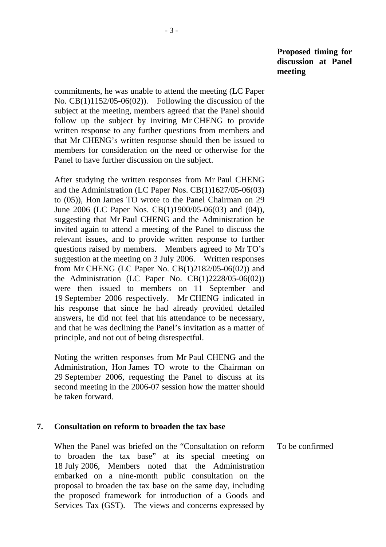commitments, he was unable to attend the meeting (LC Paper No. CB(1)1152/05-06(02)). Following the discussion of the subject at the meeting, members agreed that the Panel should follow up the subject by inviting Mr CHENG to provide written response to any further questions from members and that Mr CHENG's written response should then be issued to members for consideration on the need or otherwise for the Panel to have further discussion on the subject.

 After studying the written responses from Mr Paul CHENG and the Administration (LC Paper Nos. CB(1)1627/05-06(03) to (05)), Hon James TO wrote to the Panel Chairman on 29 June 2006 (LC Paper Nos. CB(1)1900/05-06(03) and (04)), suggesting that Mr Paul CHENG and the Administration be invited again to attend a meeting of the Panel to discuss the relevant issues, and to provide written response to further questions raised by members. Members agreed to Mr TO's suggestion at the meeting on 3 July 2006. Written responses from Mr CHENG (LC Paper No. CB(1)2182/05-06(02)) and the Administration (LC Paper No.  $CB(1)2228/05-06(02))$ were then issued to members on 11 September and 19 September 2006 respectively. Mr CHENG indicated in his response that since he had already provided detailed answers, he did not feel that his attendance to be necessary, and that he was declining the Panel's invitation as a matter of principle, and not out of being disrespectful.

 Noting the written responses from Mr Paul CHENG and the Administration, Hon James TO wrote to the Chairman on 29 September 2006, requesting the Panel to discuss at its second meeting in the 2006-07 session how the matter should be taken forward.

#### **7. Consultation on reform to broaden the tax base**

 When the Panel was briefed on the "Consultation on reform to broaden the tax base" at its special meeting on 18 July 2006, Members noted that the Administration embarked on a nine-month public consultation on the proposal to broaden the tax base on the same day, including the proposed framework for introduction of a Goods and Services Tax (GST). The views and concerns expressed by To be confirmed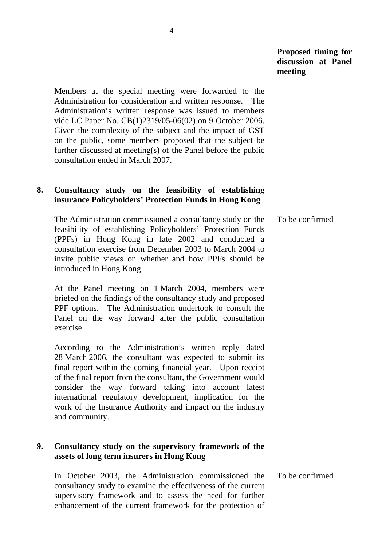Members at the special meeting were forwarded to the Administration for consideration and written response. The Administration's written response was issued to members vide LC Paper No. CB(1)2319/05-06(02) on 9 October 2006. Given the complexity of the subject and the impact of GST on the public, some members proposed that the subject be further discussed at meeting(s) of the Panel before the public consultation ended in March 2007.

## **8. Consultancy study on the feasibility of establishing insurance Policyholders' Protection Funds in Hong Kong**

 The Administration commissioned a consultancy study on the feasibility of establishing Policyholders' Protection Funds (PPFs) in Hong Kong in late 2002 and conducted a consultation exercise from December 2003 to March 2004 to invite public views on whether and how PPFs should be introduced in Hong Kong. To be confirmed

 At the Panel meeting on 1 March 2004, members were briefed on the findings of the consultancy study and proposed PPF options. The Administration undertook to consult the Panel on the way forward after the public consultation exercise.

 According to the Administration's written reply dated 28 March 2006, the consultant was expected to submit its final report within the coming financial year. Upon receipt of the final report from the consultant, the Government would consider the way forward taking into account latest international regulatory development, implication for the work of the Insurance Authority and impact on the industry and community.

## **9. Consultancy study on the supervisory framework of the assets of long term insurers in Hong Kong**

 In October 2003, the Administration commissioned the consultancy study to examine the effectiveness of the current supervisory framework and to assess the need for further enhancement of the current framework for the protection of To be confirmed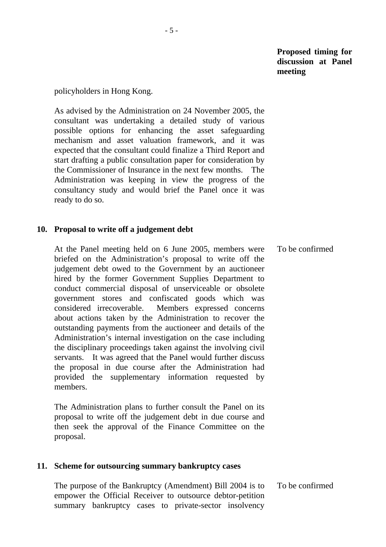#### policyholders in Hong Kong.

 As advised by the Administration on 24 November 2005, the consultant was undertaking a detailed study of various possible options for enhancing the asset safeguarding mechanism and asset valuation framework, and it was expected that the consultant could finalize a Third Report and start drafting a public consultation paper for consideration by the Commissioner of Insurance in the next few months. The Administration was keeping in view the progress of the consultancy study and would brief the Panel once it was ready to do so.

### **10. Proposal to write off a judgement debt**

 At the Panel meeting held on 6 June 2005, members were briefed on the Administration's proposal to write off the judgement debt owed to the Government by an auctioneer hired by the former Government Supplies Department to conduct commercial disposal of unserviceable or obsolete government stores and confiscated goods which was considered irrecoverable. Members expressed concerns about actions taken by the Administration to recover the outstanding payments from the auctioneer and details of the Administration's internal investigation on the case including the disciplinary proceedings taken against the involving civil servants. It was agreed that the Panel would further discuss the proposal in due course after the Administration had provided the supplementary information requested by members. To be confirmed

 The Administration plans to further consult the Panel on its proposal to write off the judgement debt in due course and then seek the approval of the Finance Committee on the proposal.

## **11. Scheme for outsourcing summary bankruptcy cases**

 The purpose of the Bankruptcy (Amendment) Bill 2004 is to empower the Official Receiver to outsource debtor-petition summary bankruptcy cases to private-sector insolvency To be confirmed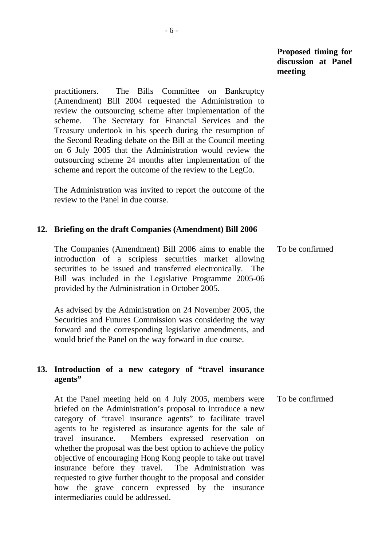practitioners. The Bills Committee on Bankruptcy (Amendment) Bill 2004 requested the Administration to review the outsourcing scheme after implementation of the scheme. The Secretary for Financial Services and the Treasury undertook in his speech during the resumption of the Second Reading debate on the Bill at the Council meeting on 6 July 2005 that the Administration would review the outsourcing scheme 24 months after implementation of the scheme and report the outcome of the review to the LegCo.

 The Administration was invited to report the outcome of the review to the Panel in due course.

#### **12. Briefing on the draft Companies (Amendment) Bill 2006**

 The Companies (Amendment) Bill 2006 aims to enable the introduction of a scripless securities market allowing securities to be issued and transferred electronically. The Bill was included in the Legislative Programme 2005-06 provided by the Administration in October 2005. To be confirmed

 As advised by the Administration on 24 November 2005, the Securities and Futures Commission was considering the way forward and the corresponding legislative amendments, and would brief the Panel on the way forward in due course.

### **13. Introduction of a new category of "travel insurance agents"**

 At the Panel meeting held on 4 July 2005, members were briefed on the Administration's proposal to introduce a new category of "travel insurance agents" to facilitate travel agents to be registered as insurance agents for the sale of travel insurance. Members expressed reservation on whether the proposal was the best option to achieve the policy objective of encouraging Hong Kong people to take out travel insurance before they travel. The Administration was requested to give further thought to the proposal and consider how the grave concern expressed by the insurance intermediaries could be addressed. To be confirmed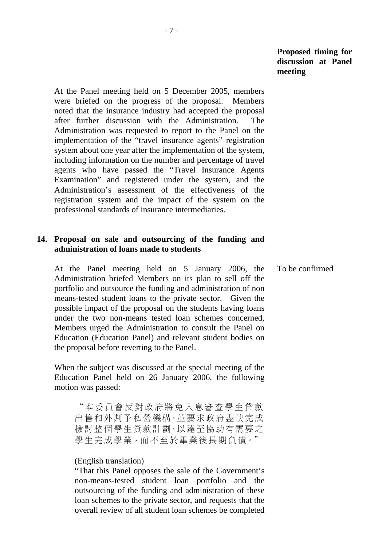At the Panel meeting held on 5 December 2005, members were briefed on the progress of the proposal. Members noted that the insurance industry had accepted the proposal after further discussion with the Administration. The Administration was requested to report to the Panel on the implementation of the "travel insurance agents" registration system about one year after the implementation of the system, including information on the number and percentage of travel agents who have passed the "Travel Insurance Agents Examination" and registered under the system, and the Administration's assessment of the effectiveness of the registration system and the impact of the system on the professional standards of insurance intermediaries.

### **14. Proposal on sale and outsourcing of the funding and administration of loans made to students**

 At the Panel meeting held on 5 January 2006, the Administration briefed Members on its plan to sell off the portfolio and outsource the funding and administration of non means-tested student loans to the private sector. Given the possible impact of the proposal on the students having loans under the two non-means tested loan schemes concerned, Members urged the Administration to consult the Panel on Education (Education Panel) and relevant student bodies on the proposal before reverting to the Panel. To be confirmed

 When the subject was discussed at the special meeting of the Education Panel held on 26 January 2006, the following motion was passed:

"本委員會反對政府將免入息審查學生貸款 出售和外判予私營機構,並要求政府盡快完成 檢討整個學生貸款計劃,以達至協助有需要之 學生完成學業,而不至於畢業後長期負債。"

#### (English translation)

"That this Panel opposes the sale of the Government's non-means-tested student loan portfolio and the outsourcing of the funding and administration of these loan schemes to the private sector, and requests that the overall review of all student loan schemes be completed